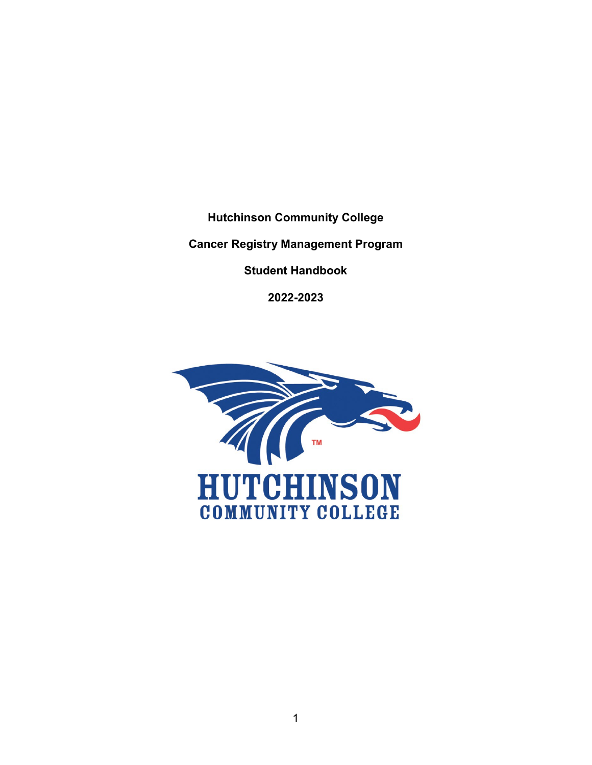**Hutchinson Community College**

**Cancer Registry Management Program**

**Student Handbook**

**2022-2023**

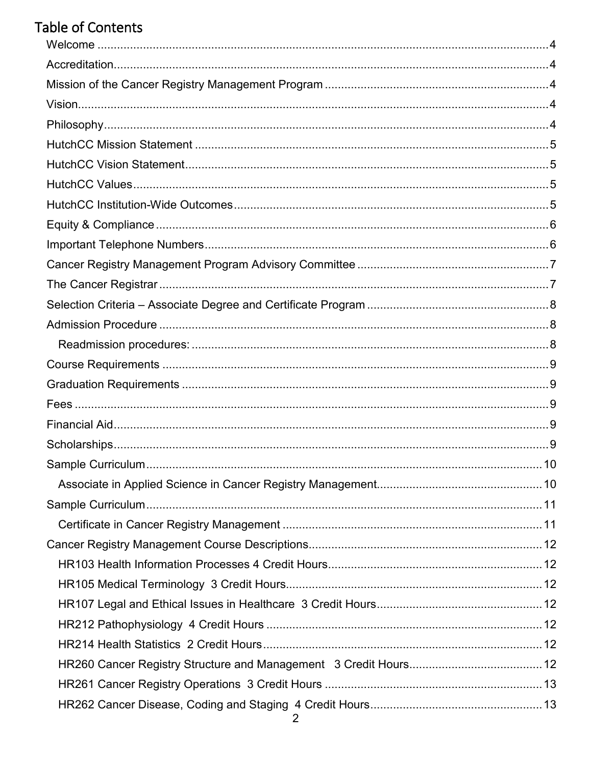# **Table of Contents**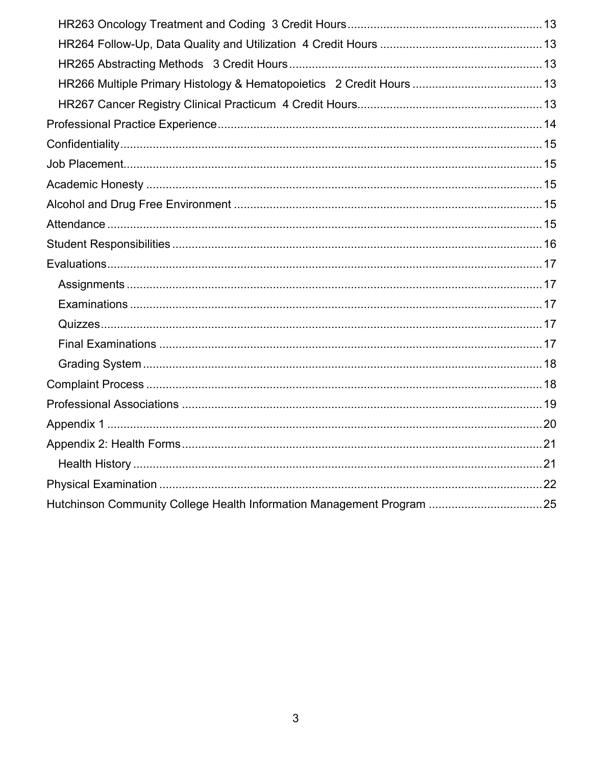| Hutchinson Community College Health Information Management Program 25 |  |
|-----------------------------------------------------------------------|--|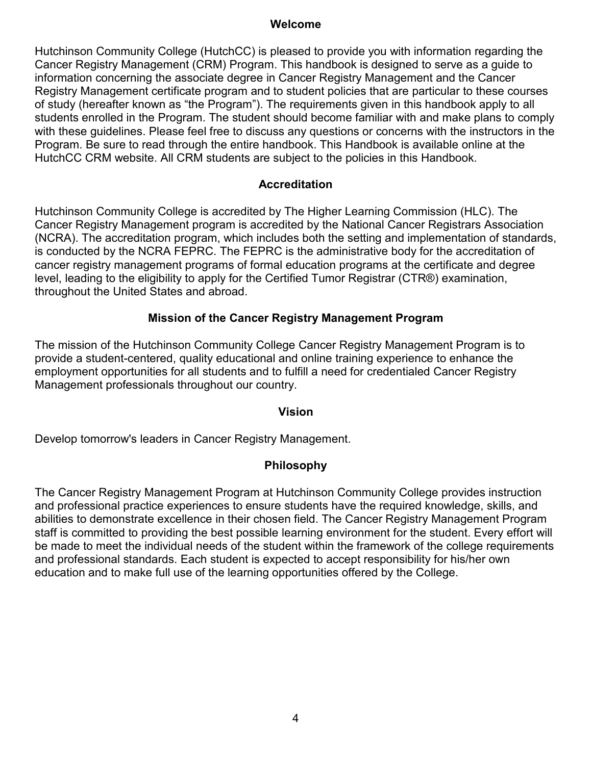#### **Welcome**

<span id="page-3-0"></span>Hutchinson Community College (HutchCC) is pleased to provide you with information regarding the Cancer Registry Management (CRM) Program. This handbook is designed to serve as a guide to information concerning the associate degree in Cancer Registry Management and the Cancer Registry Management certificate program and to student policies that are particular to these courses of study (hereafter known as "the Program"). The requirements given in this handbook apply to all students enrolled in the Program. The student should become familiar with and make plans to comply with these guidelines. Please feel free to discuss any questions or concerns with the instructors in the Program. Be sure to read through the entire handbook. This Handbook is available online at the HutchCC CRM website. All CRM students are subject to the policies in this Handbook.

#### **Accreditation**

<span id="page-3-1"></span>Hutchinson Community College is accredited by The Higher Learning Commission (HLC). The Cancer Registry Management program is accredited by the National Cancer Registrars Association (NCRA). The accreditation program, which includes both the setting and implementation of standards, is conducted by the NCRA FEPRC. The FEPRC is the administrative body for the accreditation of cancer registry management programs of formal education programs at the certificate and degree level, leading to the eligibility to apply for the Certified Tumor Registrar (CTR®) examination, throughout the United States and abroad.

#### **Mission of the Cancer Registry Management Program**

<span id="page-3-2"></span>The mission of the Hutchinson Community College Cancer Registry Management Program is to provide a student-centered, quality educational and online training experience to enhance the employment opportunities for all students and to fulfill a need for credentialed Cancer Registry Management professionals throughout our country.

#### **Vision**

<span id="page-3-4"></span><span id="page-3-3"></span>Develop tomorrow's leaders in Cancer Registry Management.

#### **Philosophy**

The Cancer Registry Management Program at Hutchinson Community College provides instruction and professional practice experiences to ensure students have the required knowledge, skills, and abilities to demonstrate excellence in their chosen field. The Cancer Registry Management Program staff is committed to providing the best possible learning environment for the student. Every effort will be made to meet the individual needs of the student within the framework of the college requirements and professional standards. Each student is expected to accept responsibility for his/her own education and to make full use of the learning opportunities offered by the College.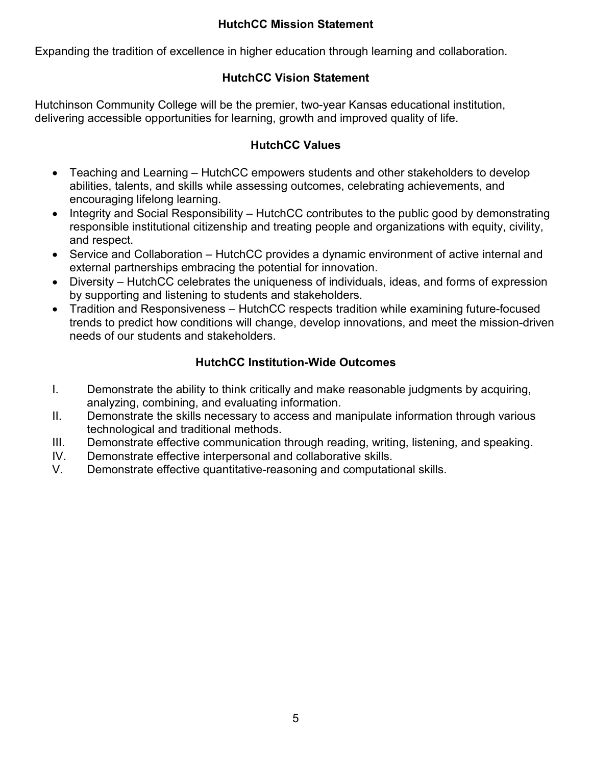# **HutchCC Mission Statement**

<span id="page-4-0"></span>Expanding the tradition of excellence in higher education through learning and collaboration.

# **HutchCC Vision Statement**

<span id="page-4-1"></span>Hutchinson Community College will be the premier, two-year Kansas educational institution, delivering accessible opportunities for learning, growth and improved quality of life.

# **HutchCC Values**

- <span id="page-4-2"></span>• Teaching and Learning – HutchCC empowers students and other stakeholders to develop abilities, talents, and skills while assessing outcomes, celebrating achievements, and encouraging lifelong learning.
- Integrity and Social Responsibility HutchCC contributes to the public good by demonstrating responsible institutional citizenship and treating people and organizations with equity, civility, and respect.
- Service and Collaboration HutchCC provides a dynamic environment of active internal and external partnerships embracing the potential for innovation.
- Diversity HutchCC celebrates the uniqueness of individuals, ideas, and forms of expression by supporting and listening to students and stakeholders.
- Tradition and Responsiveness HutchCC respects tradition while examining future-focused trends to predict how conditions will change, develop innovations, and meet the mission-driven needs of our students and stakeholders.

# **HutchCC Institution-Wide Outcomes**

- <span id="page-4-3"></span>I. Demonstrate the ability to think critically and make reasonable judgments by acquiring, analyzing, combining, and evaluating information.
- II. Demonstrate the skills necessary to access and manipulate information through various technological and traditional methods.
- III. Demonstrate effective communication through reading, writing, listening, and speaking.
- IV. Demonstrate effective interpersonal and collaborative skills.
- V. Demonstrate effective quantitative-reasoning and computational skills.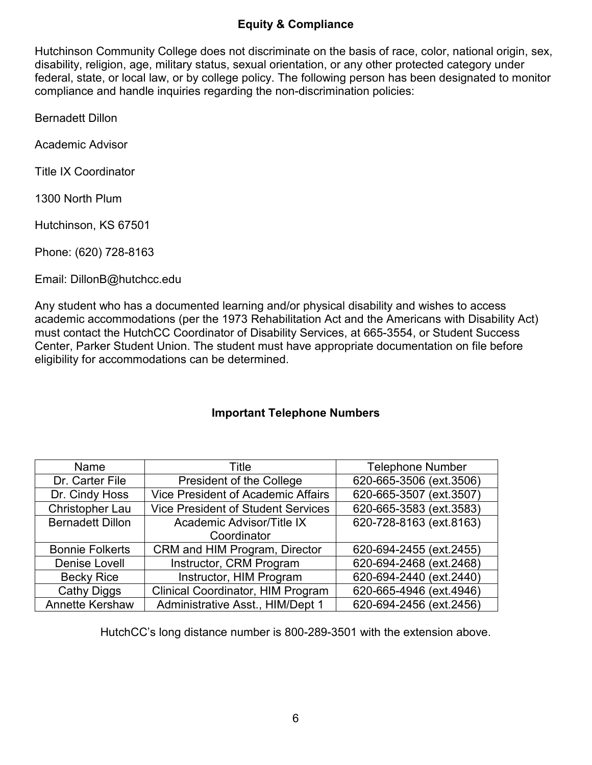# **Equity & Compliance**

<span id="page-5-0"></span>Hutchinson Community College does not discriminate on the basis of race, color, national origin, sex, disability, religion, age, military status, sexual orientation, or any other protected category under federal, state, or local law, or by college policy. The following person has been designated to monitor compliance and handle inquiries regarding the non-discrimination policies:

Bernadett Dillon

Academic Advisor

Title IX Coordinator

1300 North Plum

Hutchinson, KS 67501

Phone: (620) 728-8163

Email: DillonB@hutchcc.edu

Any student who has a documented learning and/or physical disability and wishes to access academic accommodations (per the 1973 Rehabilitation Act and the Americans with Disability Act) must contact the HutchCC Coordinator of Disability Services, at 665-3554, or Student Success Center, Parker Student Union. The student must have appropriate documentation on file before eligibility for accommodations can be determined.

## **Important Telephone Numbers**

<span id="page-5-1"></span>

| Name                    | Title                                     | <b>Telephone Number</b> |
|-------------------------|-------------------------------------------|-------------------------|
| Dr. Carter File         | President of the College                  | 620-665-3506 (ext.3506) |
| Dr. Cindy Hoss          | <b>Vice President of Academic Affairs</b> | 620-665-3507 (ext.3507) |
| <b>Christopher Lau</b>  | <b>Vice President of Student Services</b> | 620-665-3583 (ext.3583) |
| <b>Bernadett Dillon</b> | Academic Advisor/Title IX                 | 620-728-8163 (ext.8163) |
|                         | Coordinator                               |                         |
| <b>Bonnie Folkerts</b>  | CRM and HIM Program, Director             | 620-694-2455 (ext.2455) |
| Denise Lovell           | Instructor, CRM Program                   | 620-694-2468 (ext.2468) |
| <b>Becky Rice</b>       | Instructor, HIM Program                   | 620-694-2440 (ext.2440) |
| Cathy Diggs             | Clinical Coordinator, HIM Program         | 620-665-4946 (ext.4946) |
| <b>Annette Kershaw</b>  | Administrative Asst., HIM/Dept 1          | 620-694-2456 (ext.2456) |

HutchCC's long distance number is 800-289-3501 with the extension above.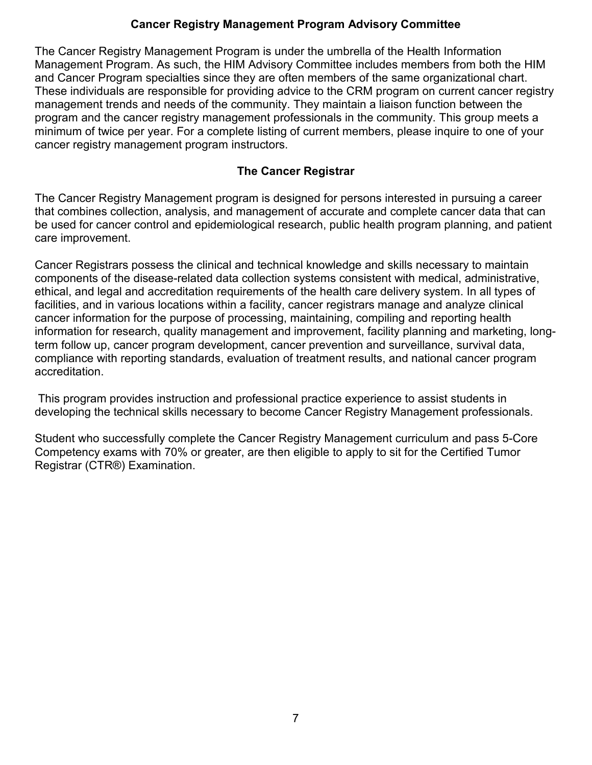# **Cancer Registry Management Program Advisory Committee**

<span id="page-6-0"></span>The Cancer Registry Management Program is under the umbrella of the Health Information Management Program. As such, the HIM Advisory Committee includes members from both the HIM and Cancer Program specialties since they are often members of the same organizational chart. These individuals are responsible for providing advice to the CRM program on current cancer registry management trends and needs of the community. They maintain a liaison function between the program and the cancer registry management professionals in the community. This group meets a minimum of twice per year. For a complete listing of current members, please inquire to one of your cancer registry management program instructors.

#### **The Cancer Registrar**

<span id="page-6-1"></span>The Cancer Registry Management program is designed for persons interested in pursuing a career that combines collection, analysis, and management of accurate and complete cancer data that can be used for cancer control and epidemiological research, public health program planning, and patient care improvement.

Cancer Registrars possess the clinical and technical knowledge and skills necessary to maintain components of the disease-related data collection systems consistent with medical, administrative, ethical, and legal and accreditation requirements of the health care delivery system. In all types of facilities, and in various locations within a facility, cancer registrars manage and analyze clinical cancer information for the purpose of processing, maintaining, compiling and reporting health information for research, quality management and improvement, facility planning and marketing, longterm follow up, cancer program development, cancer prevention and surveillance, survival data, compliance with reporting standards, evaluation of treatment results, and national cancer program accreditation.

This program provides instruction and professional practice experience to assist students in developing the technical skills necessary to become Cancer Registry Management professionals.

Student who successfully complete the Cancer Registry Management curriculum and pass 5-Core Competency exams with 70% or greater, are then eligible to apply to sit for the Certified Tumor Registrar (CTR®) Examination.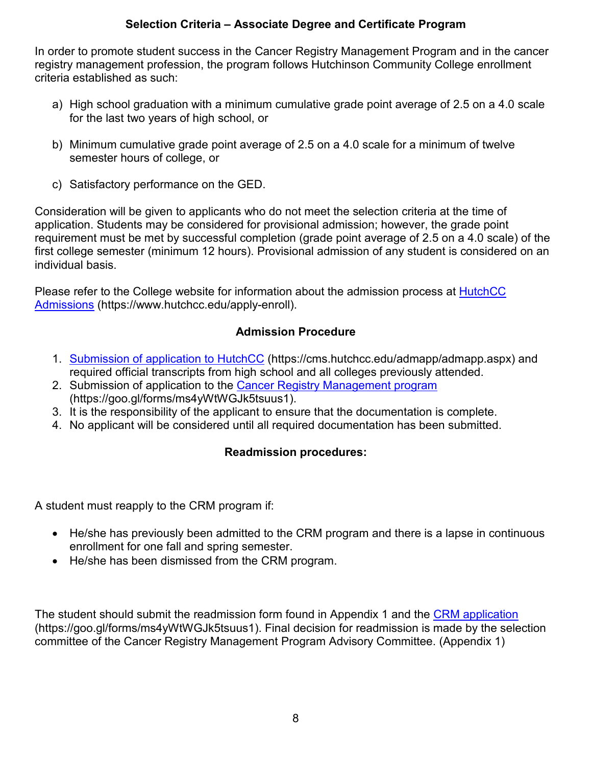# **Selection Criteria – Associate Degree and Certificate Program**

<span id="page-7-0"></span>In order to promote student success in the Cancer Registry Management Program and in the cancer registry management profession, the program follows Hutchinson Community College enrollment criteria established as such:

- a) High school graduation with a minimum cumulative grade point average of 2.5 on a 4.0 scale for the last two years of high school, or
- b) Minimum cumulative grade point average of 2.5 on a 4.0 scale for a minimum of twelve semester hours of college, or
- c) Satisfactory performance on the GED.

Consideration will be given to applicants who do not meet the selection criteria at the time of application. Students may be considered for provisional admission; however, the grade point requirement must be met by successful completion (grade point average of 2.5 on a 4.0 scale) of the first college semester (minimum 12 hours). Provisional admission of any student is considered on an individual basis.

Please refer to the College website for information about the admission process at **HutchCC** [Admissions](https://www.hutchcc.edu/apply-enroll) (https://www.hutchcc.edu/apply-enroll).

## **Admission Procedure**

- <span id="page-7-1"></span>1. [Submission of application to HutchCC](https://cms.hutchcc.edu/admapp/admapp.aspx) (https://cms.hutchcc.edu/admapp/admapp.aspx) and required official transcripts from high school and all colleges previously attended.
- 2. Submission of application to the [Cancer Registry Management](https://goo.gl/forms/ms4yWtWGJk5tsuus1) program (https://goo.gl/forms/ms4yWtWGJk5tsuus1).
- 3. It is the responsibility of the applicant to ensure that the documentation is complete.
- <span id="page-7-2"></span>4. No applicant will be considered until all required documentation has been submitted.

# **Readmission procedures:**

A student must reapply to the CRM program if:

- He/she has previously been admitted to the CRM program and there is a lapse in continuous enrollment for one fall and spring semester.
- He/she has been dismissed from the CRM program.

The student should submit the readmission form found in Appendix 1 and the CRM [application](https://goo.gl/forms/ms4yWtWGJk5tsuus1) (https://goo.gl/forms/ms4yWtWGJk5tsuus1). Final decision for readmission is made by the selection committee of the Cancer Registry Management Program Advisory Committee. (Appendix 1)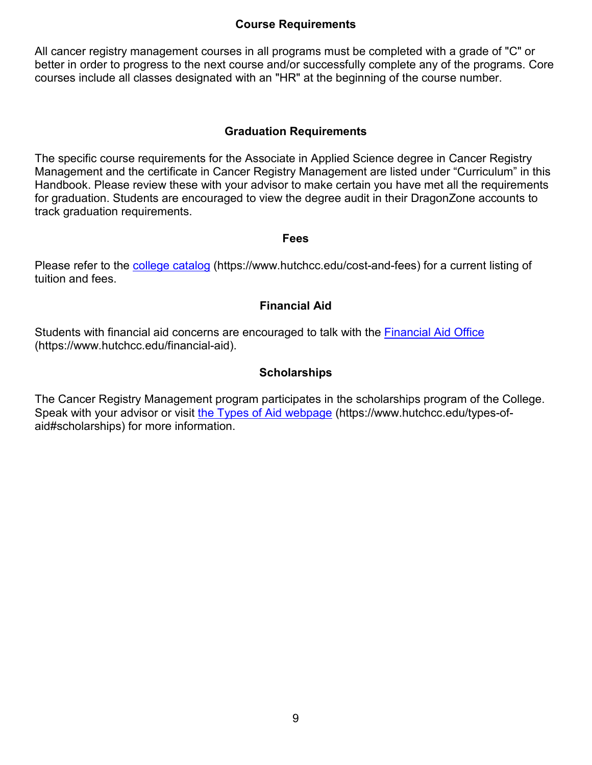#### **Course Requirements**

<span id="page-8-0"></span>All cancer registry management courses in all programs must be completed with a grade of "C" or better in order to progress to the next course and/or successfully complete any of the programs. Core courses include all classes designated with an "HR" at the beginning of the course number.

#### **Graduation Requirements**

<span id="page-8-1"></span>The specific course requirements for the Associate in Applied Science degree in Cancer Registry Management and the certificate in Cancer Registry Management are listed under "Curriculum" in this Handbook. Please review these with your advisor to make certain you have met all the requirements for graduation. Students are encouraged to view the degree audit in their DragonZone accounts to track graduation requirements.

#### **Fees**

<span id="page-8-2"></span>Please refer to the [college catalog](https://www.hutchcc.edu/cost-and-fees) (https://www.hutchcc.edu/cost-and-fees) for a current listing of tuition and fees.

#### **Financial Aid**

<span id="page-8-3"></span>Students with financial aid concerns are encouraged to talk with the [Financial Aid Office](https://www.hutchcc.edu/financial-aid) (https://www.hutchcc.edu/financial-aid).

#### **Scholarships**

<span id="page-8-4"></span>The Cancer Registry Management program participates in the scholarships program of the College. Speak with your advisor or visit [the Types of Aid webpage](https://www.hutchcc.edu/types-of-aid#scholarships) (https://www.hutchcc.edu/types-ofaid#scholarships) for more information.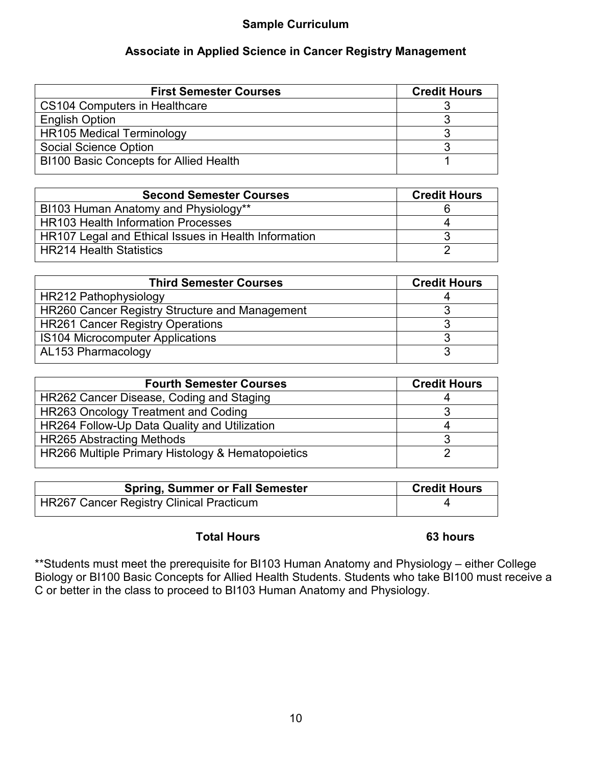# **Sample Curriculum**

# **Associate in Applied Science in Cancer Registry Management**

<span id="page-9-1"></span><span id="page-9-0"></span>

| <b>First Semester Courses</b>                 | <b>Credit Hours</b> |
|-----------------------------------------------|---------------------|
| <b>CS104 Computers in Healthcare</b>          |                     |
| <b>English Option</b>                         |                     |
| <b>HR105 Medical Terminology</b>              |                     |
| <b>Social Science Option</b>                  |                     |
| <b>BI100 Basic Concepts for Allied Health</b> |                     |

| <b>Second Semester Courses</b>                       | <b>Credit Hours</b> |
|------------------------------------------------------|---------------------|
| BI103 Human Anatomy and Physiology**                 |                     |
| <b>HR103 Health Information Processes</b>            |                     |
| HR107 Legal and Ethical Issues in Health Information |                     |
| <b>HR214 Health Statistics</b>                       |                     |

| <b>Third Semester Courses</b>                  | <b>Credit Hours</b> |
|------------------------------------------------|---------------------|
| HR212 Pathophysiology                          |                     |
| HR260 Cancer Registry Structure and Management |                     |
| <b>HR261 Cancer Registry Operations</b>        |                     |
| <b>IS104 Microcomputer Applications</b>        |                     |
| AL153 Pharmacology                             |                     |

| <b>Fourth Semester Courses</b>                    | <b>Credit Hours</b> |
|---------------------------------------------------|---------------------|
| HR262 Cancer Disease, Coding and Staging          |                     |
| HR263 Oncology Treatment and Coding               |                     |
| HR264 Follow-Up Data Quality and Utilization      |                     |
| <b>HR265 Abstracting Methods</b>                  |                     |
| HR266 Multiple Primary Histology & Hematopoietics |                     |

| <b>Spring, Summer or Fall Semester</b>   | <b>Credit Hours</b> |
|------------------------------------------|---------------------|
| HR267 Cancer Registry Clinical Practicum |                     |

#### **Total Hours 63 hours**

\*\*Students must meet the prerequisite for BI103 Human Anatomy and Physiology – either College Biology or BI100 Basic Concepts for Allied Health Students. Students who take BI100 must receive a C or better in the class to proceed to BI103 Human Anatomy and Physiology.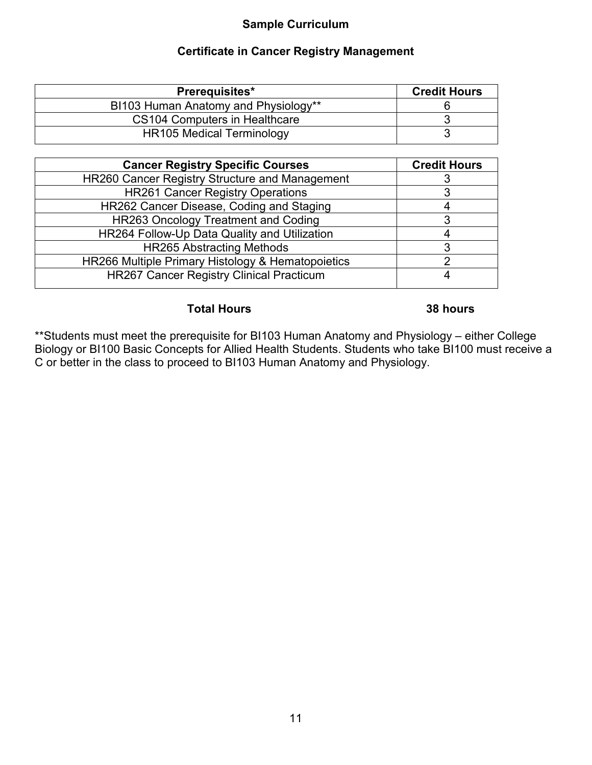# **Sample Curriculum**

# **Certificate in Cancer Registry Management**

<span id="page-10-1"></span><span id="page-10-0"></span>

| Prerequisites*                       | <b>Credit Hours</b> |
|--------------------------------------|---------------------|
| BI103 Human Anatomy and Physiology** |                     |
| CS104 Computers in Healthcare        |                     |
| <b>HR105 Medical Terminology</b>     |                     |

| <b>Cancer Registry Specific Courses</b>           | <b>Credit Hours</b> |
|---------------------------------------------------|---------------------|
| HR260 Cancer Registry Structure and Management    | 3                   |
| <b>HR261 Cancer Registry Operations</b>           |                     |
| HR262 Cancer Disease, Coding and Staging          |                     |
| HR263 Oncology Treatment and Coding               | 3                   |
| HR264 Follow-Up Data Quality and Utilization      |                     |
| <b>HR265 Abstracting Methods</b>                  | ິ                   |
| HR266 Multiple Primary Histology & Hematopoietics |                     |
| <b>HR267 Cancer Registry Clinical Practicum</b>   |                     |
|                                                   |                     |

#### **Total Hours 38 hours**

\*\*Students must meet the prerequisite for BI103 Human Anatomy and Physiology – either College Biology or BI100 Basic Concepts for Allied Health Students. Students who take BI100 must receive a C or better in the class to proceed to BI103 Human Anatomy and Physiology.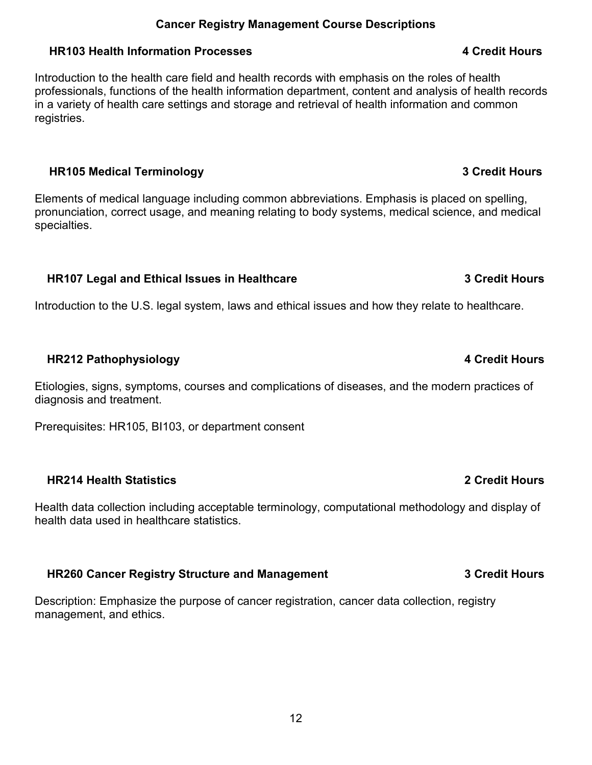#### **Cancer Registry Management Course Descriptions**

#### <span id="page-11-1"></span><span id="page-11-0"></span>**HR103 Health Information Processes 4 Credit Hours**

Introduction to the health care field and health records with emphasis on the roles of health professionals, functions of the health information department, content and analysis of health records in a variety of health care settings and storage and retrieval of health information and common registries.

#### <span id="page-11-2"></span>**HR105 Medical Terminology 3 Credit Hours**

Elements of medical language including common abbreviations. Emphasis is placed on spelling, pronunciation, correct usage, and meaning relating to body systems, medical science, and medical specialties.

## <span id="page-11-3"></span>**HR107 Legal and Ethical Issues in Healthcare 3 Credit Hours**

Introduction to the U.S. legal system, laws and ethical issues and how they relate to healthcare.

# <span id="page-11-4"></span>**HR212 Pathophysiology 4 Credit Hours**

Etiologies, signs, symptoms, courses and complications of diseases, and the modern practices of diagnosis and treatment.

Prerequisites: HR105, BI103, or department consent

## <span id="page-11-5"></span>**HR214 Health Statistics 2 Credit Hours**

Health data collection including acceptable terminology, computational methodology and display of health data used in healthcare statistics.

# <span id="page-11-6"></span>**HR260 Cancer Registry Structure and Management 3 Credit Hours**

Description: Emphasize the purpose of cancer registration, cancer data collection, registry management, and ethics.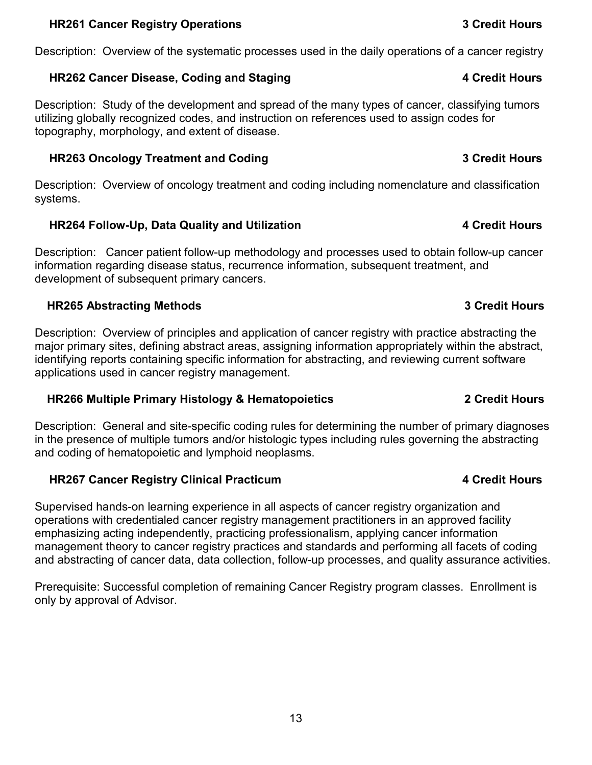#### 13

#### <span id="page-12-0"></span>**HR261 Cancer Registry Operations 3 Credit Hours**

Description: Overview of the systematic processes used in the daily operations of a cancer registry

#### <span id="page-12-1"></span>**HR262 Cancer Disease, Coding and Staging 4 Credit Hours**

Description: Study of the development and spread of the many types of cancer, classifying tumors utilizing globally recognized codes, and instruction on references used to assign codes for topography, morphology, and extent of disease.

# <span id="page-12-2"></span>**HR263 Oncology Treatment and Coding 3 Credit Hours**

Description: Overview of oncology treatment and coding including nomenclature and classification systems.

# <span id="page-12-3"></span>**HR264 Follow-Up, Data Quality and Utilization 4 Credit Hours**

Description: Cancer patient follow-up methodology and processes used to obtain follow-up cancer information regarding disease status, recurrence information, subsequent treatment, and development of subsequent primary cancers.

## <span id="page-12-4"></span>**HR265 Abstracting Methods 3 Credit Hours**

Description: Overview of principles and application of cancer registry with practice abstracting the major primary sites, defining abstract areas, assigning information appropriately within the abstract, identifying reports containing specific information for abstracting, and reviewing current software applications used in cancer registry management.

## <span id="page-12-5"></span>**HR266 Multiple Primary Histology & Hematopoietics 2 Credit Hours**

Description: General and site-specific coding rules for determining the number of primary diagnoses in the presence of multiple tumors and/or histologic types including rules governing the abstracting and coding of hematopoietic and lymphoid neoplasms.

## <span id="page-12-6"></span>**HR267 Cancer Registry Clinical Practicum 4 Credit Hours**

Supervised hands-on learning experience in all aspects of cancer registry organization and operations with credentialed cancer registry management practitioners in an approved facility emphasizing acting independently, practicing professionalism, applying cancer information management theory to cancer registry practices and standards and performing all facets of coding and abstracting of cancer data, data collection, follow-up processes, and quality assurance activities.

Prerequisite: Successful completion of remaining Cancer Registry program classes. Enrollment is only by approval of Advisor.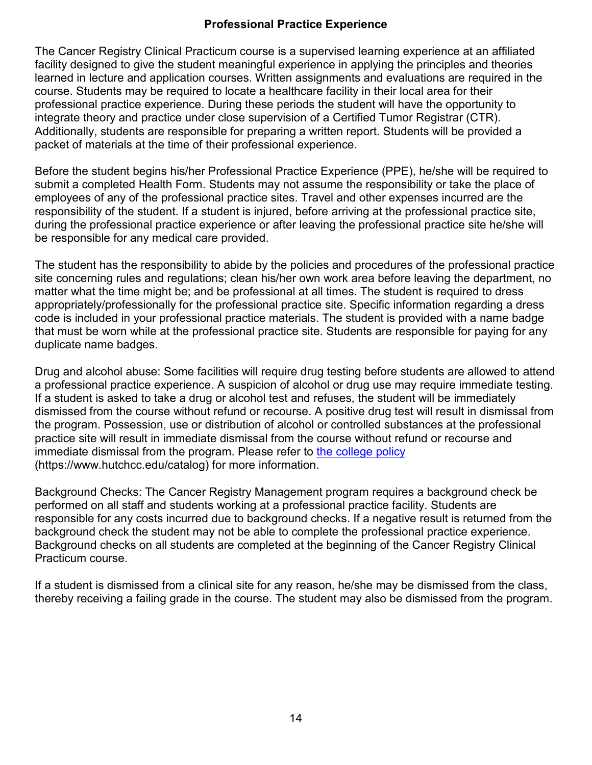#### **Professional Practice Experience**

<span id="page-13-0"></span>The Cancer Registry Clinical Practicum course is a supervised learning experience at an affiliated facility designed to give the student meaningful experience in applying the principles and theories learned in lecture and application courses. Written assignments and evaluations are required in the course. Students may be required to locate a healthcare facility in their local area for their professional practice experience. During these periods the student will have the opportunity to integrate theory and practice under close supervision of a Certified Tumor Registrar (CTR). Additionally, students are responsible for preparing a written report. Students will be provided a packet of materials at the time of their professional experience.

Before the student begins his/her Professional Practice Experience (PPE), he/she will be required to submit a completed Health Form. Students may not assume the responsibility or take the place of employees of any of the professional practice sites. Travel and other expenses incurred are the responsibility of the student. If a student is injured, before arriving at the professional practice site, during the professional practice experience or after leaving the professional practice site he/she will be responsible for any medical care provided.

The student has the responsibility to abide by the policies and procedures of the professional practice site concerning rules and regulations; clean his/her own work area before leaving the department, no matter what the time might be; and be professional at all times. The student is required to dress appropriately/professionally for the professional practice site. Specific information regarding a dress code is included in your professional practice materials. The student is provided with a name badge that must be worn while at the professional practice site. Students are responsible for paying for any duplicate name badges.

Drug and alcohol abuse: Some facilities will require drug testing before students are allowed to attend a professional practice experience. A suspicion of alcohol or drug use may require immediate testing. If a student is asked to take a drug or alcohol test and refuses, the student will be immediately dismissed from the course without refund or recourse. A positive drug test will result in dismissal from the program. Possession, use or distribution of alcohol or controlled substances at the professional practice site will result in immediate dismissal from the course without refund or recourse and immediate dismissal from the program. Please refer to [the college policy](http://www.hutchcc.edu/catalog/policy/?id=36) (https://www.hutchcc.edu/catalog) for more information.

Background Checks: The Cancer Registry Management program requires a background check be performed on all staff and students working at a professional practice facility. Students are responsible for any costs incurred due to background checks. If a negative result is returned from the background check the student may not be able to complete the professional practice experience. Background checks on all students are completed at the beginning of the Cancer Registry Clinical Practicum course.

If a student is dismissed from a clinical site for any reason, he/she may be dismissed from the class, thereby receiving a failing grade in the course. The student may also be dismissed from the program.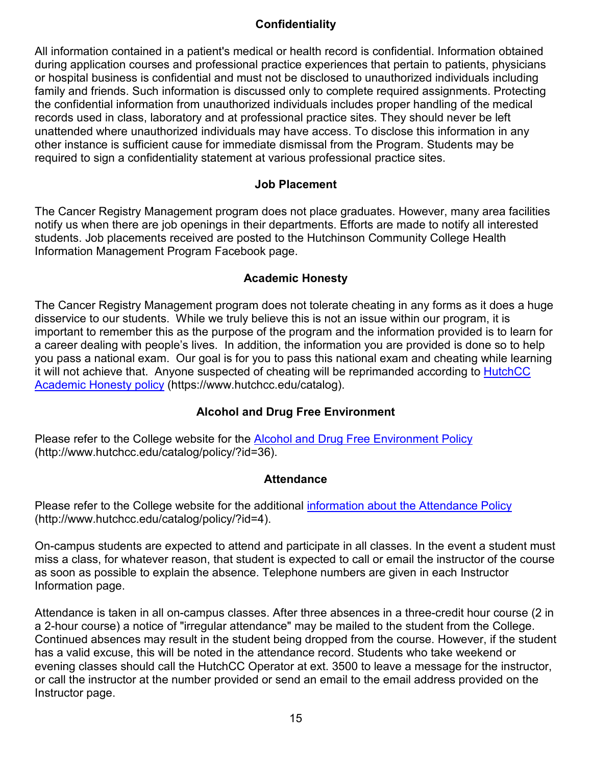# **Confidentiality**

<span id="page-14-0"></span>All information contained in a patient's medical or health record is confidential. Information obtained during application courses and professional practice experiences that pertain to patients, physicians or hospital business is confidential and must not be disclosed to unauthorized individuals including family and friends. Such information is discussed only to complete required assignments. Protecting the confidential information from unauthorized individuals includes proper handling of the medical records used in class, laboratory and at professional practice sites. They should never be left unattended where unauthorized individuals may have access. To disclose this information in any other instance is sufficient cause for immediate dismissal from the Program. Students may be required to sign a confidentiality statement at various professional practice sites.

#### **Job Placement**

<span id="page-14-1"></span>The Cancer Registry Management program does not place graduates. However, many area facilities notify us when there are job openings in their departments. Efforts are made to notify all interested students. Job placements received are posted to the Hutchinson Community College Health Information Management Program Facebook page.

#### **Academic Honesty**

<span id="page-14-2"></span>The Cancer Registry Management program does not tolerate cheating in any forms as it does a huge disservice to our students. While we truly believe this is not an issue within our program, it is important to remember this as the purpose of the program and the information provided is to learn for a career dealing with people's lives. In addition, the information you are provided is done so to help you pass a national exam. Our goal is for you to pass this national exam and cheating while learning it will not achieve that. Anyone suspected of cheating will be reprimanded according to HutchCC [Academic Honesty policy](https://www.hutchcc.edu/catalog) (https://www.hutchcc.edu/catalog).

## **Alcohol and Drug Free Environment**

<span id="page-14-4"></span><span id="page-14-3"></span>Please refer to the College website for the [Alcohol and Drug Free Environment Policy](http://www.hutchcc.edu/catalog/policy/?id=36) (http://www.hutchcc.edu/catalog/policy/?id=36).

#### **Attendance**

Please refer to the College website for the additional [information about the Attendance Policy](http://www.hutchcc.edu/catalog/policy/?id=4) (http://www.hutchcc.edu/catalog/policy/?id=4).

On-campus students are expected to attend and participate in all classes. In the event a student must miss a class, for whatever reason, that student is expected to call or email the instructor of the course as soon as possible to explain the absence. Telephone numbers are given in each Instructor Information page.

Attendance is taken in all on-campus classes. After three absences in a three-credit hour course (2 in a 2-hour course) a notice of "irregular attendance" may be mailed to the student from the College. Continued absences may result in the student being dropped from the course. However, if the student has a valid excuse, this will be noted in the attendance record. Students who take weekend or evening classes should call the HutchCC Operator at ext. 3500 to leave a message for the instructor, or call the instructor at the number provided or send an email to the email address provided on the Instructor page.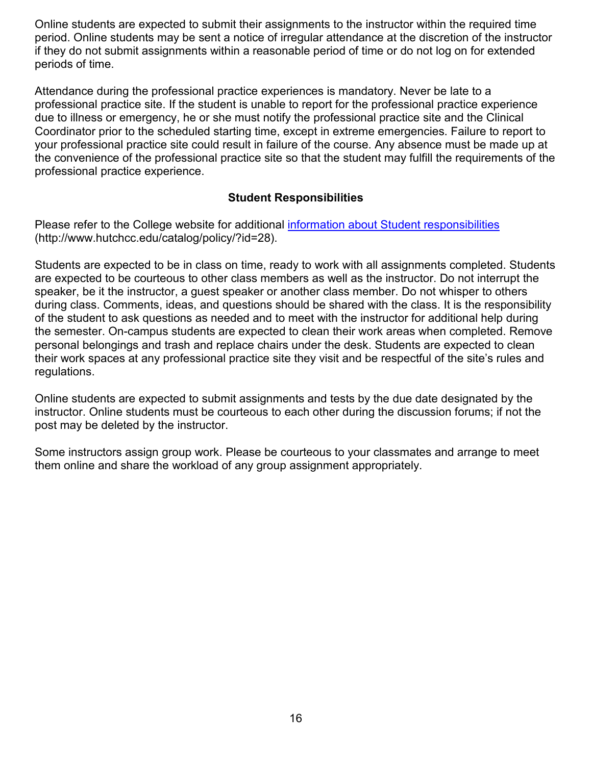Online students are expected to submit their assignments to the instructor within the required time period. Online students may be sent a notice of irregular attendance at the discretion of the instructor if they do not submit assignments within a reasonable period of time or do not log on for extended periods of time.

Attendance during the professional practice experiences is mandatory. Never be late to a professional practice site. If the student is unable to report for the professional practice experience due to illness or emergency, he or she must notify the professional practice site and the Clinical Coordinator prior to the scheduled starting time, except in extreme emergencies. Failure to report to your professional practice site could result in failure of the course. Any absence must be made up at the convenience of the professional practice site so that the student may fulfill the requirements of the professional practice experience.

#### **Student Responsibilities**

<span id="page-15-0"></span>Please refer to the College website for additional [information about Student responsibilities](http://www.hutchcc.edu/catalog/policy/?id=28) (http://www.hutchcc.edu/catalog/policy/?id=28).

Students are expected to be in class on time, ready to work with all assignments completed. Students are expected to be courteous to other class members as well as the instructor. Do not interrupt the speaker, be it the instructor, a guest speaker or another class member. Do not whisper to others during class. Comments, ideas, and questions should be shared with the class. It is the responsibility of the student to ask questions as needed and to meet with the instructor for additional help during the semester. On-campus students are expected to clean their work areas when completed. Remove personal belongings and trash and replace chairs under the desk. Students are expected to clean their work spaces at any professional practice site they visit and be respectful of the site's rules and regulations.

Online students are expected to submit assignments and tests by the due date designated by the instructor. Online students must be courteous to each other during the discussion forums; if not the post may be deleted by the instructor.

Some instructors assign group work. Please be courteous to your classmates and arrange to meet them online and share the workload of any group assignment appropriately.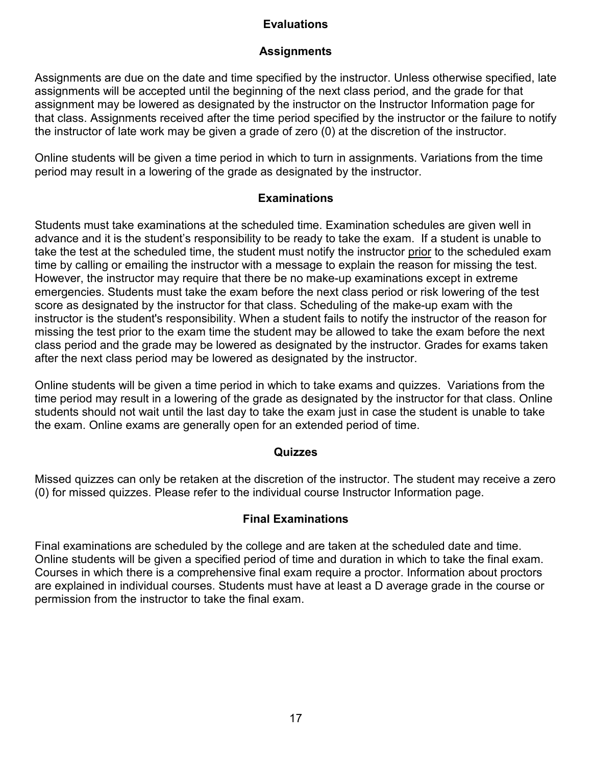## **Evaluations**

#### **Assignments**

<span id="page-16-1"></span><span id="page-16-0"></span>Assignments are due on the date and time specified by the instructor. Unless otherwise specified, late assignments will be accepted until the beginning of the next class period, and the grade for that assignment may be lowered as designated by the instructor on the Instructor Information page for that class. Assignments received after the time period specified by the instructor or the failure to notify the instructor of late work may be given a grade of zero (0) at the discretion of the instructor.

Online students will be given a time period in which to turn in assignments. Variations from the time period may result in a lowering of the grade as designated by the instructor.

#### **Examinations**

<span id="page-16-2"></span>Students must take examinations at the scheduled time. Examination schedules are given well in advance and it is the student's responsibility to be ready to take the exam. If a student is unable to take the test at the scheduled time, the student must notify the instructor prior to the scheduled exam time by calling or emailing the instructor with a message to explain the reason for missing the test. However, the instructor may require that there be no make-up examinations except in extreme emergencies. Students must take the exam before the next class period or risk lowering of the test score as designated by the instructor for that class. Scheduling of the make-up exam with the instructor is the student's responsibility. When a student fails to notify the instructor of the reason for missing the test prior to the exam time the student may be allowed to take the exam before the next class period and the grade may be lowered as designated by the instructor. Grades for exams taken after the next class period may be lowered as designated by the instructor.

Online students will be given a time period in which to take exams and quizzes. Variations from the time period may result in a lowering of the grade as designated by the instructor for that class. Online students should not wait until the last day to take the exam just in case the student is unable to take the exam. Online exams are generally open for an extended period of time.

#### **Quizzes**

<span id="page-16-3"></span>Missed quizzes can only be retaken at the discretion of the instructor. The student may receive a zero (0) for missed quizzes. Please refer to the individual course Instructor Information page.

## **Final Examinations**

<span id="page-16-4"></span>Final examinations are scheduled by the college and are taken at the scheduled date and time. Online students will be given a specified period of time and duration in which to take the final exam. Courses in which there is a comprehensive final exam require a proctor. Information about proctors are explained in individual courses. Students must have at least a D average grade in the course or permission from the instructor to take the final exam.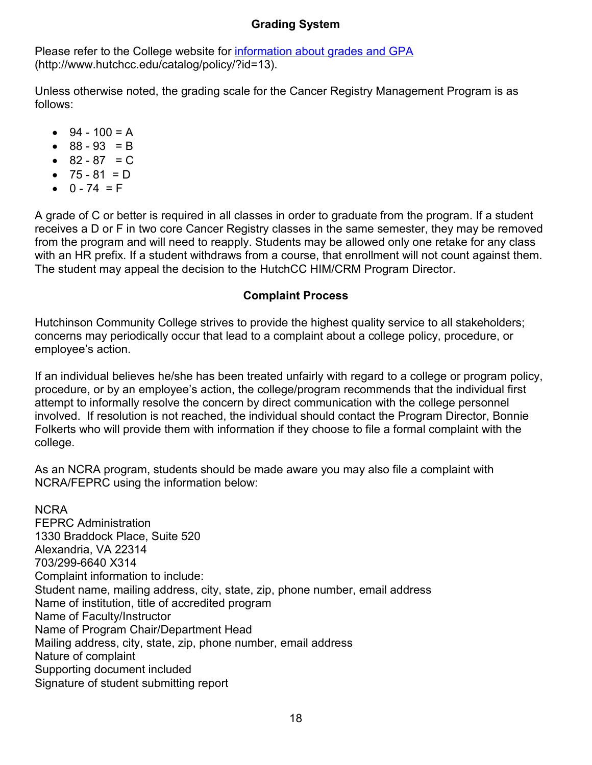# **Grading System**

<span id="page-17-0"></span>Please refer to the College website for [information about grades and GPA](http://www.hutchcc.edu/catalog/policy/?id=13) (http://www.hutchcc.edu/catalog/policy/?id=13).

Unless otherwise noted, the grading scale for the Cancer Registry Management Program is as follows:

- $94 100 = A$
- $88 93 = B$
- $82 87 = C$
- $75 81 = D$
- $0 74 = F$

A grade of C or better is required in all classes in order to graduate from the program. If a student receives a D or F in two core Cancer Registry classes in the same semester, they may be removed from the program and will need to reapply. Students may be allowed only one retake for any class with an HR prefix. If a student withdraws from a course, that enrollment will not count against them. The student may appeal the decision to the HutchCC HIM/CRM Program Director.

## **Complaint Process**

<span id="page-17-1"></span>Hutchinson Community College strives to provide the highest quality service to all stakeholders; concerns may periodically occur that lead to a complaint about a college policy, procedure, or employee's action.

If an individual believes he/she has been treated unfairly with regard to a college or program policy, procedure, or by an employee's action, the college/program recommends that the individual first attempt to informally resolve the concern by direct communication with the college personnel involved. If resolution is not reached, the individual should contact the Program Director, Bonnie Folkerts who will provide them with information if they choose to file a formal complaint with the college.

As an NCRA program, students should be made aware you may also file a complaint with NCRA/FEPRC using the information below:

NCRA FEPRC Administration 1330 Braddock Place, Suite 520 Alexandria, VA 22314 703/299-6640 X314 Complaint information to include: Student name, mailing address, city, state, zip, phone number, email address Name of institution, title of accredited program Name of Faculty/Instructor Name of Program Chair/Department Head Mailing address, city, state, zip, phone number, email address Nature of complaint Supporting document included Signature of student submitting report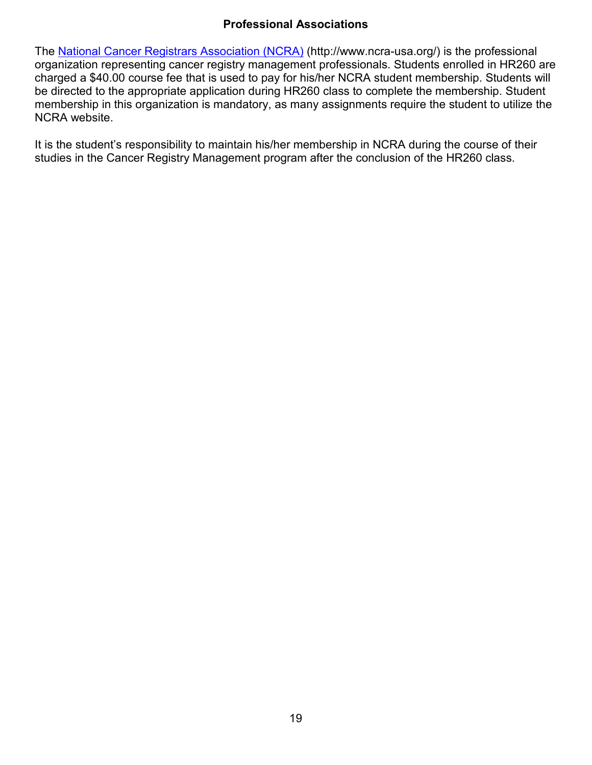# **Professional Associations**

<span id="page-18-0"></span>The [National Cancer Registrars Association \(NCRA\)](http://www.ncra-usa.org/) (http://www.ncra-usa.org/) is the professional organization representing cancer registry management professionals. Students enrolled in HR260 are charged a \$40.00 course fee that is used to pay for his/her NCRA student membership. Students will be directed to the appropriate application during HR260 class to complete the membership. Student membership in this organization is mandatory, as many assignments require the student to utilize the NCRA website.

It is the student's responsibility to maintain his/her membership in NCRA during the course of their studies in the Cancer Registry Management program after the conclusion of the HR260 class.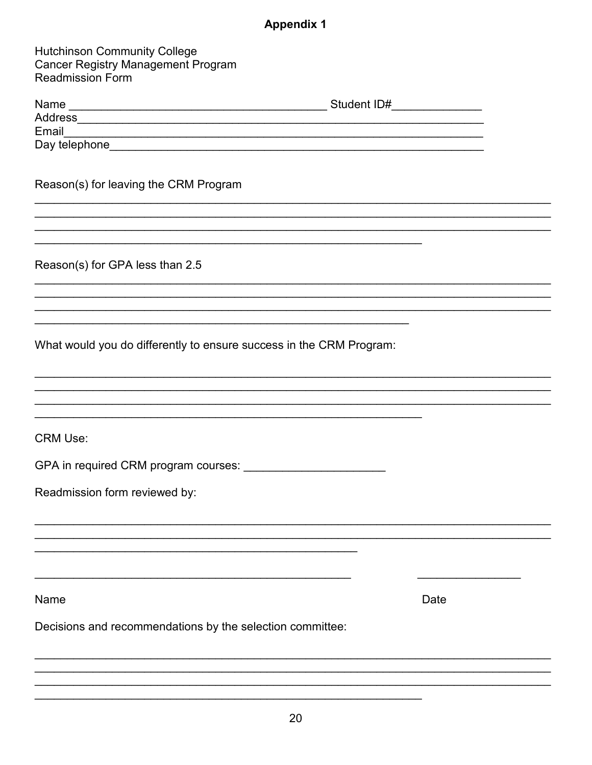# **Appendix 1**

<span id="page-19-0"></span>

| <b>Hutchinson Community College</b><br><b>Cancer Registry Management Program</b><br><b>Readmission Form</b>                                         |      |
|-----------------------------------------------------------------------------------------------------------------------------------------------------|------|
|                                                                                                                                                     |      |
|                                                                                                                                                     |      |
|                                                                                                                                                     |      |
|                                                                                                                                                     |      |
| Reason(s) for leaving the CRM Program                                                                                                               |      |
| and the control of the control of the control of the control of the control of the control of the control of the<br>Reason(s) for GPA less than 2.5 |      |
|                                                                                                                                                     |      |
|                                                                                                                                                     |      |
| the control of the control of the control of the control of the control of the control of                                                           |      |
| What would you do differently to ensure success in the CRM Program:                                                                                 |      |
|                                                                                                                                                     |      |
| <u> 1999 - Johann John Harry Harry Harry Harry Harry Harry Harry Harry Harry Harry Harry Harry Harry Harry Harry</u>                                |      |
| <b>CRM Use:</b>                                                                                                                                     |      |
| GPA in required CRM program courses:                                                                                                                |      |
| Readmission form reviewed by:                                                                                                                       |      |
|                                                                                                                                                     |      |
|                                                                                                                                                     |      |
| Name                                                                                                                                                | Date |
| Decisions and recommendations by the selection committee:                                                                                           |      |
|                                                                                                                                                     |      |
|                                                                                                                                                     |      |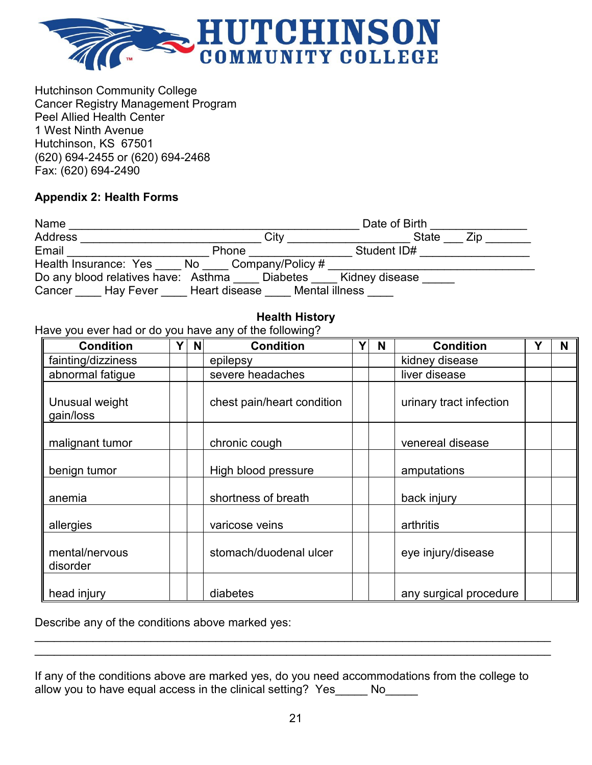

Hutchinson Community College Cancer Registry Management Program Peel Allied Health Center 1 West Ninth Avenue Hutchinson, KS 67501 (620) 694-2455 or (620) 694-2468 Fax: (620) 694-2490

#### <span id="page-20-0"></span>**Appendix 2: Health Forms**

| Name                                |                                 | Date of Birth  |     |
|-------------------------------------|---------------------------------|----------------|-----|
| <b>Address</b>                      | City                            | <b>State</b>   | Zip |
| Email                               | Phone                           | Student ID#    |     |
| Health Insurance: Yes<br>No         | Company/Policy #                |                |     |
| Do any blood relatives have: Asthma | <b>Diabetes</b>                 | Kidney disease |     |
| <b>Hay Fever</b><br>Cancer          | Mental illness<br>Heart disease |                |     |

## **Health History**

<span id="page-20-1"></span>Have you ever had or do you have any of the following?

| <b>Condition</b>            | Y. | <b>N</b> | <b>Condition</b>                   | Y | N | <b>Condition</b>        | Υ | N |
|-----------------------------|----|----------|------------------------------------|---|---|-------------------------|---|---|
| fainting/dizziness          |    |          | epilepsy                           |   |   | kidney disease          |   |   |
| abnormal fatigue            |    |          | severe headaches                   |   |   | liver disease           |   |   |
| Unusual weight<br>gain/loss |    |          | chest pain/heart condition         |   |   | urinary tract infection |   |   |
| malignant tumor             |    |          | chronic cough                      |   |   | venereal disease        |   |   |
| benign tumor                |    |          | High blood pressure                |   |   | amputations             |   |   |
| anemia                      |    |          | shortness of breath<br>back injury |   |   |                         |   |   |
| allergies                   |    |          | varicose veins                     |   |   | arthritis               |   |   |
| mental/nervous<br>disorder  |    |          | stomach/duodenal ulcer             |   |   | eye injury/disease      |   |   |
| head injury                 |    |          | diabetes                           |   |   | any surgical procedure  |   |   |

Describe any of the conditions above marked yes:

<span id="page-20-2"></span>If any of the conditions above are marked yes, do you need accommodations from the college to allow you to have equal access in the clinical setting? Yes No

\_\_\_\_\_\_\_\_\_\_\_\_\_\_\_\_\_\_\_\_\_\_\_\_\_\_\_\_\_\_\_\_\_\_\_\_\_\_\_\_\_\_\_\_\_\_\_\_\_\_\_\_\_\_\_\_\_\_\_\_\_\_\_\_\_\_\_\_\_\_\_\_\_\_\_\_\_\_\_\_ \_\_\_\_\_\_\_\_\_\_\_\_\_\_\_\_\_\_\_\_\_\_\_\_\_\_\_\_\_\_\_\_\_\_\_\_\_\_\_\_\_\_\_\_\_\_\_\_\_\_\_\_\_\_\_\_\_\_\_\_\_\_\_\_\_\_\_\_\_\_\_\_\_\_\_\_\_\_\_\_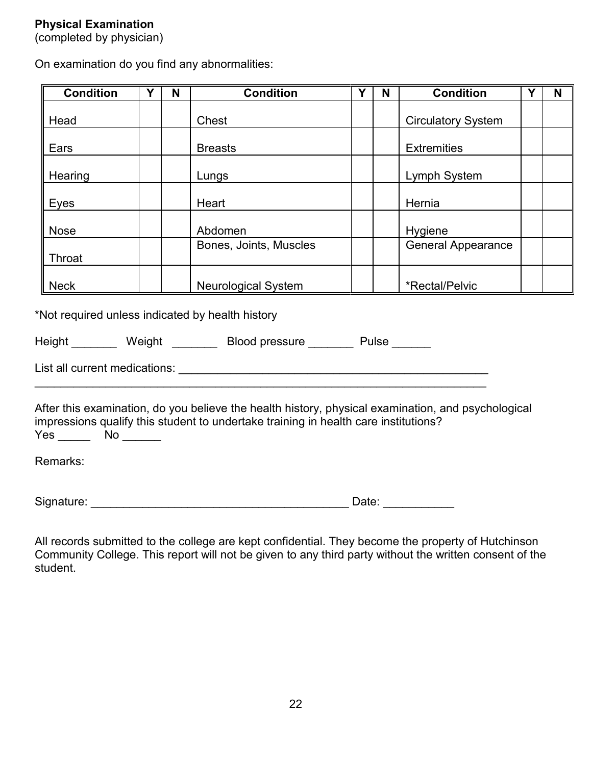## **Physical Examination**

(completed by physician)

On examination do you find any abnormalities:

| <b>Condition</b>                                 | Y | N | <b>Condition</b>                                                                                                                                                                          | Y | N                         | <b>Condition</b>          | Y | N |
|--------------------------------------------------|---|---|-------------------------------------------------------------------------------------------------------------------------------------------------------------------------------------------|---|---------------------------|---------------------------|---|---|
| Head                                             |   |   | Chest                                                                                                                                                                                     |   | <b>Circulatory System</b> |                           |   |   |
| Ears                                             |   |   | <b>Breasts</b>                                                                                                                                                                            |   |                           | <b>Extremities</b>        |   |   |
| Hearing                                          |   |   | Lungs                                                                                                                                                                                     |   |                           | Lymph System              |   |   |
| Eyes                                             |   |   | Heart                                                                                                                                                                                     |   |                           | Hernia                    |   |   |
| <b>Nose</b>                                      |   |   | Abdomen                                                                                                                                                                                   |   |                           | Hygiene                   |   |   |
| Throat                                           |   |   | Bones, Joints, Muscles                                                                                                                                                                    |   |                           | <b>General Appearance</b> |   |   |
| Neck                                             |   |   | <b>Neurological System</b>                                                                                                                                                                |   |                           | *Rectal/Pelvic            |   |   |
| *Not required unless indicated by health history |   |   |                                                                                                                                                                                           |   |                           |                           |   |   |
|                                                  |   |   | Height Meight Blood pressure Pulse                                                                                                                                                        |   |                           |                           |   |   |
|                                                  |   |   |                                                                                                                                                                                           |   |                           |                           |   |   |
|                                                  |   |   | After this examination, do you believe the health history, physical examination, and psychological<br>impressions qualify this student to undertake training in health care institutions? |   |                           |                           |   |   |

Yes \_\_\_\_\_\_\_ No \_\_\_\_\_\_

Remarks:

Signature: \_\_\_\_\_\_\_\_\_\_\_\_\_\_\_\_\_\_\_\_\_\_\_\_\_\_\_\_\_\_\_\_\_\_\_\_\_\_\_\_ Date: \_\_\_\_\_\_\_\_\_\_\_

All records submitted to the college are kept confidential. They become the property of Hutchinson Community College. This report will not be given to any third party without the written consent of the student.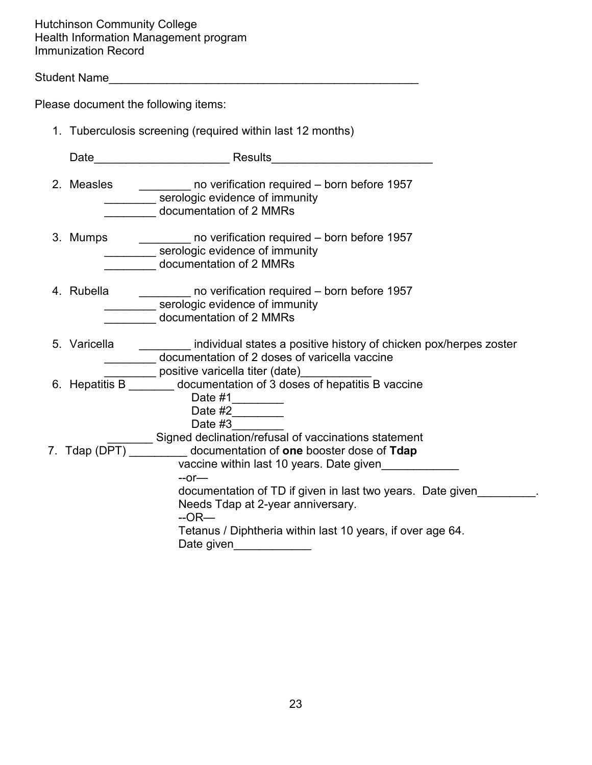Hutchinson Community College Health Information Management program Immunization Record

Student Name

Please document the following items:

| 1. Tuberculosis screening (required within last 12 months) |                                                                                                          |  |  |  |  |
|------------------------------------------------------------|----------------------------------------------------------------------------------------------------------|--|--|--|--|
| Date                                                       | Results                                                                                                  |  |  |  |  |
| 2. Measles                                                 | no verification required – born before 1957<br>serologic evidence of immunity<br>documentation of 2 MMRs |  |  |  |  |

- 3. Mumps \_\_\_\_\_\_\_\_ no verification required born before 1957 **Example 10 Serologic evidence of immunity** \_\_\_\_\_\_\_\_ documentation of 2 MMRs
- 4. Rubella \_\_\_\_\_\_\_\_ no verification required born before 1957 serologic evidence of immunity \_\_\_\_\_\_\_\_ documentation of 2 MMRs
- 5. Varicella \_\_\_\_\_\_\_\_ individual states a positive history of chicken pox/herpes zoster documentation of 2 doses of varicella vaccine positive varicella titer (date)
- 6. Hepatitis B \_\_\_\_\_\_\_\_ documentation of 3 doses of hepatitis B vaccine
	- Date #1\_\_\_\_\_\_\_\_\_\_
	- Date  $#2$
	- Date #3
- T. Tdap (DPT) Signed declination/refusal of vaccinations statement<br>documentation of **one** booster dose of **Tdap** 7. Tdap (DPT) \_\_\_\_\_\_\_\_\_ documentation of **one** booster dose of **Tdap**
- vaccine within last 10 years. Date given\_\_\_\_\_\_\_\_\_\_\_\_ --or documentation of TD if given in last two years. Date given Needs Tdap at 2-year anniversary. --OR—
	- Tetanus / Diphtheria within last 10 years, if over age 64.

| Date given |  |  |
|------------|--|--|
|            |  |  |
|            |  |  |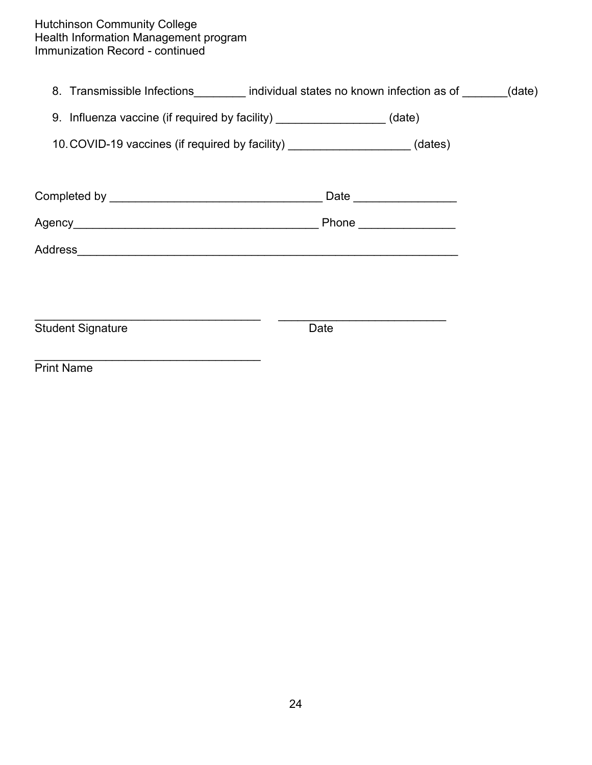#### Hutchinson Community College Health Information Management program Immunization Record - continued

8. Transmissible Infections\_\_\_\_\_\_\_\_\_ individual states no known infection as of \_\_\_\_\_\_(date)

|  |  |  |  | 9. Influenza vaccine (if required by facility) |  | (date) |
|--|--|--|--|------------------------------------------------|--|--------|
|--|--|--|--|------------------------------------------------|--|--------|

10.COVID-19 vaccines (if required by facility) \_\_\_\_\_\_\_\_\_\_\_\_\_\_\_\_\_\_\_ (dates)

|                          | Date _______________  |
|--------------------------|-----------------------|
|                          | Phone _______________ |
| Address                  |                       |
|                          |                       |
|                          |                       |
| <b>Student Signature</b> | Date                  |
| <b>Print Name</b>        |                       |